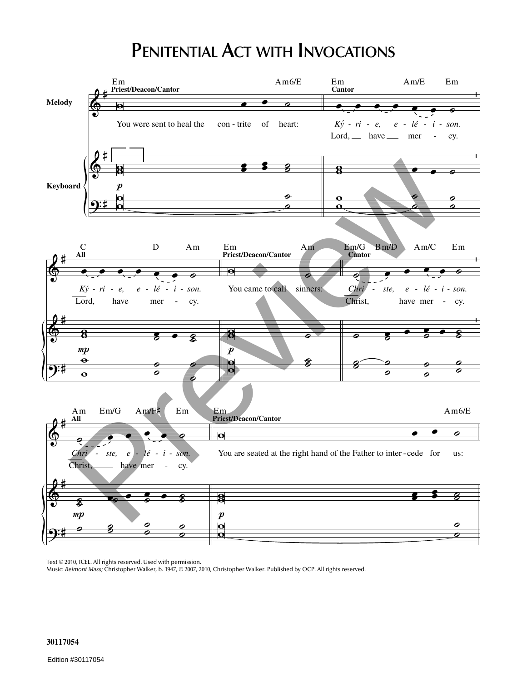## **PENITENTIAL ACT WITH INVOCATIONS**



Text © 2010, ICEL. All rights reserved. Used with permission.

Music: *Belmont Mass;* Christopher Walker, b. 1947, © 2007, 2010, Christopher Walker. Published by OCP. All rights reserved.